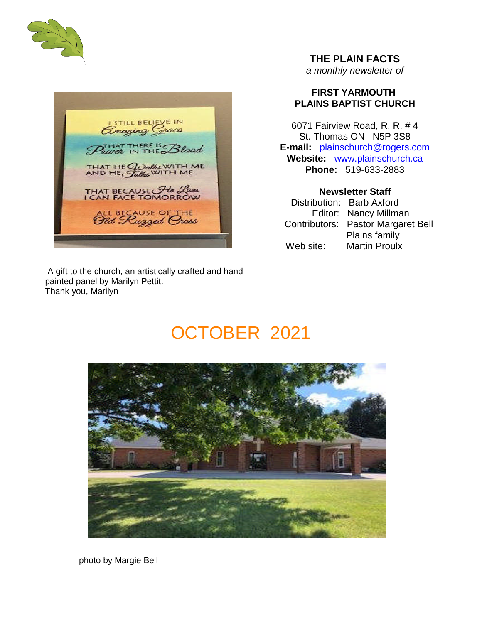



#### A gift to the church, an artistically crafted and hand painted panel by Marilyn Pettit. Thank you, Marilyn

**THE PLAIN FACTS**

*a monthly newsletter of*

# **FIRST YARMOUTH PLAINS BAPTIST CHURCH**

6071 Fairview Road, R. R. # 4 St. Thomas ON N5P 3S8 **E-mail:** plainschurch@rogers.com **Website:** www.plainschurch.ca **Phone:** 519-633-2883

**Newsletter Staff** Distribution: Barb Axford Editor: Nancy Millman Contributors: Pastor Margaret Bell Plains family Web site: Martin Proulx

# OCTOBER 2021



photo by Margie Bell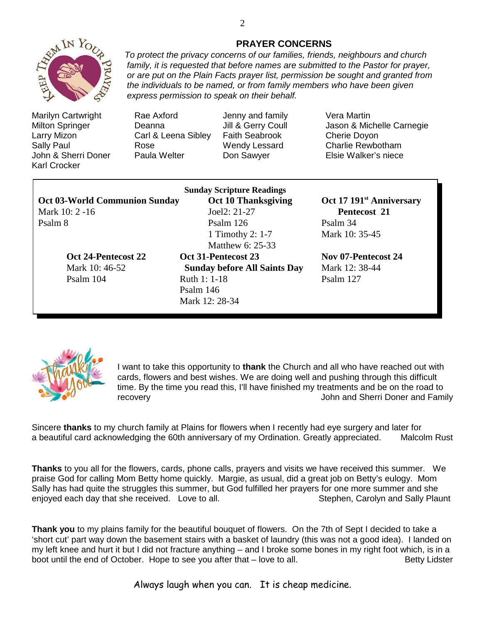

Marilyn Cartwright Rae Axford Jenny and family Vera Martin Larry Mizon Carl & Leena Sibley Faith Seabrook Cherie Doyon Sally Paul **Rose** Rose Wendy Lessard Charlie Rewbotham John & Sherri Doner Paula Welter Don Sawyer Elsie Walker's niece Karl Crocker

Milton Springer **Deanna** Jill & Gerry Coull Jason & Michelle Carnegie

|                                      | <b>Sunday Scripture Readings</b> | Oct 17 191 <sup>st</sup> |
|--------------------------------------|----------------------------------|--------------------------|
| <b>Oct 03-World Communion Sunday</b> | <b>Oct 10 Thanksgiving</b>       |                          |
| Mark 10: 2 -16                       | Joel $2: 21-27$                  | <b>Pentecos</b>          |
| Psalm 8                              | Psalm 126                        | Psalm 34                 |
|                                      | 1. The selection of $\tau$       | $M_{\odot}$ 10. $25$     |

**Mark 10: 21-27 Pentecost 21** 1 Timothy 2: 1-7 Mark 10: 35-45 Matthew 6: 25-33 **Oct 24-Pentecost 22 Oct 31-Pentecost 23 Nov 07-Pentecost 24** Mark 10: 46-52 **Sunday before All Saints Day** Mark 12: 38-44 Psalm 104 Ruth 1: 1-18 Psalm 127 Psalm 146

**Oct 10 Thanksgiving Oct 17** 191<sup>st</sup> Anniversary



I want to take this opportunity to **thank** the Church and all who have reached out with cards, flowers and best wishes. We are doing well and pushing through this difficult time. By the time you read this, I'll have finished my treatments and be on the road to recovery John and Sherri Doner and Family

Sincere **thanks** to my church family at Plains for flowers when I recently had eye surgery and later for a beautiful card acknowledging the 60th anniversary of my Ordination. Greatly appreciated. Malcolm Rust

**Thanks** to you all for the flowers, cards, phone calls, prayers and visits we have received this summer. We praise God for calling Mom Betty home quickly. Margie, as usual, did a great job on Betty's eulogy. Mom Sally has had quite the struggles this summer, but God fulfilled her prayers for one more summer and she enjoyed each day that she received. Love to all. Suppose the Stephen, Carolyn and Sally Plaunt

**Thank you** to my plains family for the beautiful bouquet of flowers. On the 7th of Sept I decided to take a 'short cut' part way down the basement stairs with a basket of laundry (this was not a good idea). I landed on my left knee and hurt it but I did not fracture anything – and I broke some bones in my right foot which, is in a boot until the end of October. Hope to see you after that – love to all. Betty Lidster

Always laugh when you can. It is cheap medicine.

*express permission to speak on their behalf.*

Mark 12: 28-34

**PRAYER CONCERNS** *To protect the privacy concerns of our families, friends, neighbours and church family, it is requested that before names are submitted to the Pastor for prayer, or are put on the Plain Facts prayer list, permission be sought and granted from the individuals to be named, or from family members who have been given*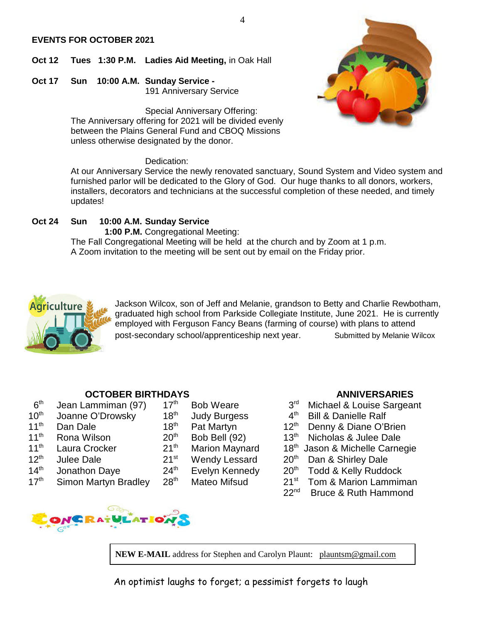#### **EVENTS FOR OCTOBER 2021**

- **Oct 12 Tues 1:30 P.M. Ladies Aid Meeting,** in Oak Hall
- **Oct 17 Sun 10:00 A.M. Sunday Service -** 191 Anniversary Service

Special Anniversary Offering: The Anniversary offering for 2021 will be divided evenly between the Plains General Fund and CBOQ Missions unless otherwise designated by the donor.

#### Dedication:

At our Anniversary Service the newly renovated sanctuary, Sound System and Video system and furnished parlor will be dedicated to the Glory of God. Our huge thanks to all donors, workers, installers, decorators and technicians at the successful completion of these needed, and timely updates!

### **Oct 24 Sun 10:00 A.M. Sunday Service**

**1:00 P.M.** Congregational Meeting: The Fall Congregational Meeting will be held at the church and by Zoom at 1 p.m. A Zoom invitation to the meeting will be sent out by email on the Friday prior.



Jackson Wilcox, son of Jeff and Melanie, grandson to Betty and Charlie Rewbotham, graduated high school from Parkside Collegiate Institute, June 2021. He is currently employed with Ferguson Fancy Beans (farming of course) with plans to attend post-secondary school/apprenticeship next year. Submitted by Melanie Wilcox

- $6<sup>th</sup>$ <br>10<sup>th</sup> Jean Lammiman (97)  $17<sup>th</sup>$  Bob Weare  $3<sup>rd</sup>$  Michael & Louise Sargeant Joanne O'Drowsky  $18<sup>th</sup>$  Judy Burgess  $4<sup>th</sup>$  Bill & Danielle Ralf Joanne O'Drowsky 18<sup>th</sup> Judy Burgess 4<sup>th</sup> Bill & Danielle Ralf 11<sup>th</sup> Dan Dale 18<sup>th</sup> Pat Martyn 12<sup>th</sup> Denny & Diane O'Brien<br>11<sup>th</sup> Rona Wilson 20<sup>th</sup> Bob Bell (92) 13<sup>th</sup> Nic 11<sup>th</sup> Rona Wilson  $20^{th}$  Bob Bell (92)  $13^{th}$  Nicholas & Julee Dale<br>11<sup>th</sup> Laura Crocker  $21^{th}$  Marion Maynard  $18^{th}$  Jason & Michelle Carne 12th Julee Dale 21st Wendy Lessard 20th Dan & Shirley Dale  $14<sup>th</sup>$  Jonathon Daye  $24<sup>th</sup>$  Evelyn Kennedy  $20<sup>th</sup>$  Todd & Kelly Ruddock
- 



- 
- 
- 
- 
- -
	-

- **OCTOBER BIRTHDAYS**<br>ammiman (97) 17<sup>th</sup> Bob Weare 3<sup>rd</sup> Michael & Louise Sargon
	-
	-
	-
- 11<sup>th</sup> Laura Crocker 21<sup>th</sup> Marion Maynard 18<sup>th</sup> Jason & Michelle Carnegie
	-
	-
- $17<sup>th</sup>$  Simon Martyn Bradley  $28<sup>th</sup>$  Mateo Mifsud  $21<sup>st</sup>$  Tom & Marion Lammiman
	- 22<sup>nd</sup> Bruce & Ruth Hammond

NEW E-MAIL address for Stephen and Carolyn Plaunt: plauntsm@gmail.com

An optimist laughs to forget; a pessimist forgets to laugh





#### 4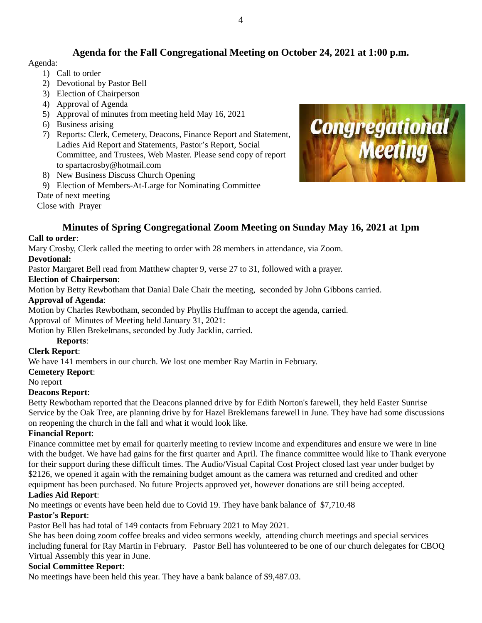# **Agenda for the Fall Congregational Meeting on October 24, 2021 at 1:00 p.m.**

#### Agenda:

- 1) Call to order
- 2) Devotional by Pastor Bell
- 3) Election of Chairperson
- 4) Approval of Agenda
- 5) Approval of minutes from meeting held May 16, 2021
- 6) Business arising
- 7) Reports: Clerk, Cemetery, Deacons, Finance Report and Statement, Ladies Aid Report and Statements, Pastor's Report, Social Committee, and Trustees, Web Master. Please send copy of report to spartacrosby@hotmail.com
- 8) New Business Discuss Church Opening
- 9) Election of Members-At-Large for Nominating Committee

Date of next meeting

Close with Prayer



# **Minutes of Spring Congregational Zoom Meeting on Sunday May 16, 2021 at 1pm**

#### **Call to order**:

Mary Crosby, Clerk called the meeting to order with 28 members in attendance, via Zoom.

#### **Devotional:**

Pastor Margaret Bell read from Matthew chapter 9, verse 27 to 31, followed with a prayer.

#### **Election of Chairperson**:

Motion by Betty Rewbotham that Danial Dale Chair the meeting, seconded by John Gibbons carried. **Approval of Agenda**:

Motion by Charles Rewbotham, seconded by Phyllis Huffman to accept the agenda, carried. Approval of Minutes of Meeting held January 31, 2021:

Motion by Ellen Brekelmans, seconded by Judy Jacklin, carried.

# **Reports**:

#### **Clerk Report**:

We have 141 members in our church. We lost one member Ray Martin in February.

#### **Cemetery Report**:

No report

#### **Deacons Report**:

Betty Rewbotham reported that the Deacons planned drive by for Edith Norton's farewell, they held Easter Sunrise Service by the Oak Tree, are planning drive by for Hazel Breklemans farewell in June. They have had some discussions on reopening the church in the fall and what it would look like.

#### **Financial Report**:

Finance committee met by email for quarterly meeting to review income and expenditures and ensure we were in line with the budget. We have had gains for the first quarter and April. The finance committee would like to Thank everyone for their support during these difficult times. The Audio/Visual Capital Cost Project closed last year under budget by \$2126, we opened it again with the remaining budget amount as the camera was returned and credited and other equipment has been purchased. No future Projects approved yet, however donations are still being accepted.

#### **Ladies Aid Report**:

No meetings or events have been held due to Covid 19. They have bank balance of \$7,710.48

#### **Pastor's Report**:

Pastor Bell has had total of 149 contacts from February 2021 to May 2021.

She has been doing zoom coffee breaks and video sermons weekly, attending church meetings and special services including funeral for Ray Martin in February. Pastor Bell has volunteered to be one of our church delegates for CBOQ Virtual Assembly this year in June.

# **Social Committee Report**:

No meetings have been held this year. They have a bank balance of \$9,487.03.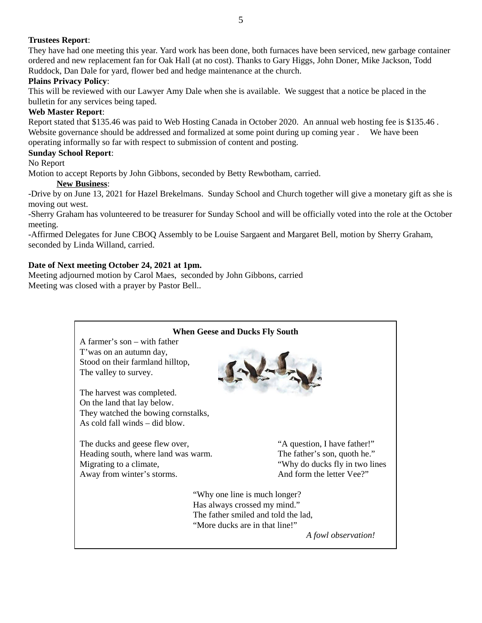### **Trustees Report**:

They have had one meeting this year. Yard work has been done, both furnaces have been serviced, new garbage container ordered and new replacement fan for Oak Hall (at no cost). Thanks to Gary Higgs, John Doner, Mike Jackson, Todd Ruddock, Dan Dale for yard, flower bed and hedge maintenance at the church.

5

#### **Plains Privacy Policy**:

This will be reviewed with our Lawyer Amy Dale when she is available. We suggest that a notice be placed in the bulletin for any services being taped.

#### **Web Master Report**:

Report stated that \$135.46 was paid to Web Hosting Canada in October 2020. An annual web hosting fee is \$135.46 . Website governance should be addressed and formalized at some point during up coming year. We have been operating informally so far with respect to submission of content and posting.

#### **Sunday School Report**:

#### No Report

Motion to accept Reports by John Gibbons, seconded by Betty Rewbotham, carried.

#### **New Business**:

-Drive by on June 13, 2021 for Hazel Brekelmans. Sunday School and Church together will give a monetary gift as she is moving out west.

-Sherry Graham has volunteered to be treasurer for Sunday School and will be officially voted into the role at the October meeting.

-Affirmed Delegates for June CBOQ Assembly to be Louise Sargaent and Margaret Bell, motion by Sherry Graham, seconded by Linda Willand, carried.

#### **Date of Next meeting October 24, 2021 at 1pm.**

Meeting adjourned motion by Carol Maes, seconded by John Gibbons, carried Meeting was closed with a prayer by Pastor Bell..

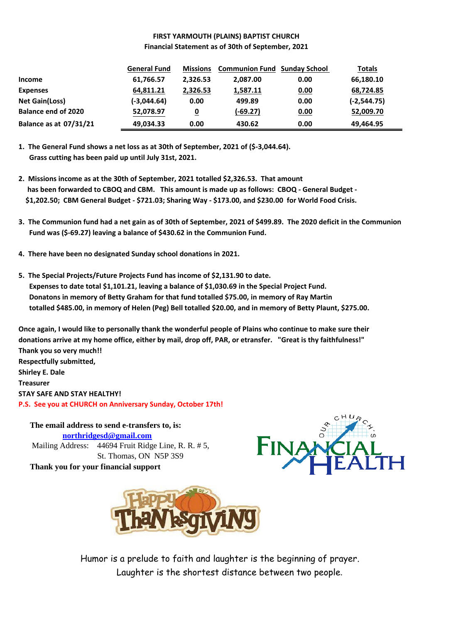### **FIRST YARMOUTH (PLAINS) BAPTIST CHURCH Financial Statement as of 30th of September, 2021**

|                               | <b>General Fund</b> | <b>Missions</b> | <b>Communion Fund Sunday School</b> |      | <b>Totals</b>  |
|-------------------------------|---------------------|-----------------|-------------------------------------|------|----------------|
| <b>Income</b>                 | 61,766.57           | 2,326.53        | 2,087.00                            | 0.00 | 66,180.10      |
| <b>Expenses</b>               | 64,811.21           | 2,326.53        | 1,587.11                            | 0.00 | 68,724.85      |
| Net Gain(Loss)                | $(-3,044.64)$       | 0.00            | 499.89                              | 0.00 | $(-2, 544.75)$ |
| <b>Balance end of 2020</b>    | 52,078.97           | <u>0</u>        | $(-69.27)$                          | 0.00 | 52,009.70      |
| <b>Balance as at 07/31/21</b> | 49,034.33           | 0.00            | 430.62                              | 0.00 | 49,464.95      |

**<sup>1.</sup> The General Fund shows a net loss as at 30th of September, 2021 of (\$-3,044.64). Grass cutting has been paid up until July 31st, 2021.**

- **2. Missions income as at the 30th of September, 2021 totalled \$2,326.53. That amount has been forwarded to CBOQ and CBM. This amount is made up as follows: CBOQ - General Budget - \$1,202.50; CBM General Budget - \$721.03; Sharing Way - \$173.00, and \$230.00 for World Food Crisis.**
- **3. The Communion fund had a net gain as of 30th of September, 2021 of \$499.89. The 2020 deficit in the Communion Fund was (\$-69.27) leaving a balance of \$430.62 in the Communion Fund.**
- **4. There have been no designated Sunday school donations in 2021.**
- **5. The Special Projects/Future Projects Fund has income of \$2,131.90 to date. Expenses to date total \$1,101.21, leaving a balance of \$1,030.69 in the Special Project Fund. Donatons in memory of Betty Graham for that fund totalled \$75.00, in memory of Ray Martin totalled \$485.00, in memory of Helen (Peg) Bell totalled \$20.00, and in memory of Betty Plaunt, \$275.00.**

**Once again, I would like to personally thank the wonderful people of Plains who continue to make sure their donations arrive at my home office, either by mail, drop off, PAR, or etransfer. "Great is thy faithfulness!" Thank you so very much!! Respectfully submitted, Shirley E. Dale Treasurer STAY SAFE AND STAY HEALTHY! P.S. See you at CHURCH on Anniversary Sunday, October 17th!**

**The email address to send e-transfers to, is: northridgesd@gmail.com** Mailing Address: 44694 Fruit Ridge Line, R. R. # 5, St. Thomas, ON N5P 3S9 **Thank you for your financial support**





Humor is a prelude to faith and laughter is the beginning of prayer. Laughter is the shortest distance between two people.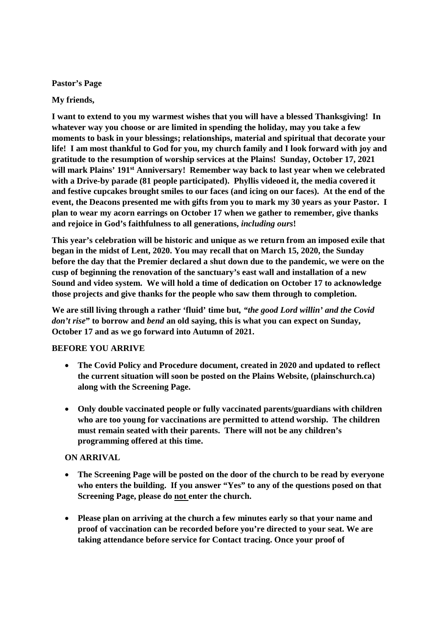**Pastor's Page**

**My friends,**

**I want to extend to you my warmest wishes that you will have a blessed Thanksgiving! In whatever way you choose or are limited in spending the holiday, may you take a few moments to bask in your blessings; relationships, material and spiritual that decorate your life! I am most thankful to God for you, my church family and I look forward with joy and gratitude to the resumption of worship services at the Plains! Sunday, October 17, 2021 will mark Plains' 191st Anniversary! Remember way back to last year when we celebrated with a Drive-by parade (81 people participated). Phyllis videoed it, the media covered it and festive cupcakes brought smiles to our faces (and icing on our faces). At the end of the event, the Deacons presented me with gifts from you to mark my 30 years as your Pastor. I plan to wear my acorn earrings on October 17 when we gather to remember, give thanks and rejoice in God's faithfulness to all generations,** *including ours***!**

**This year's celebration will be historic and unique as we return from an imposed exile that began in the midst of Lent, 2020. You may recall that on March 15, 2020, the Sunday before the day that the Premier declared a shut down due to the pandemic, we were on the cusp of beginning the renovation of the sanctuary's east wall and installation of a new Sound and video system. We will hold a time of dedication on October 17 to acknowledge those projects and give thanks for the people who saw them through to completion.**

**We are still living through a rather 'fluid' time but***, "the good Lord willin' and the Covid don't rise***" to borrow and** *bend* **an old saying, this is what you can expect on Sunday, October 17 and as we go forward into Autumn of 2021.**

#### **BEFORE YOU ARRIVE**

- **The Covid Policy and Procedure document, created in 2020 and updated to reflect the current situation will soon be posted on the Plains Website, (plainschurch.ca) along with the Screening Page.**
- **Only double vaccinated people or fully vaccinated parents/guardians with children who are too young for vaccinations are permitted to attend worship. The children must remain seated with their parents. There will not be any children's programming offered at this time.**

#### **ON ARRIVAL**

- **The Screening Page will be posted on the door of the church to be read by everyone who enters the building. If you answer "Yes" to any of the questions posed on that Screening Page, please do not enter the church.**
- **Please plan on arriving at the church a few minutes early so that your name and proof of vaccination can be recorded before you're directed to your seat. We are taking attendance before service for Contact tracing. Once your proof of**